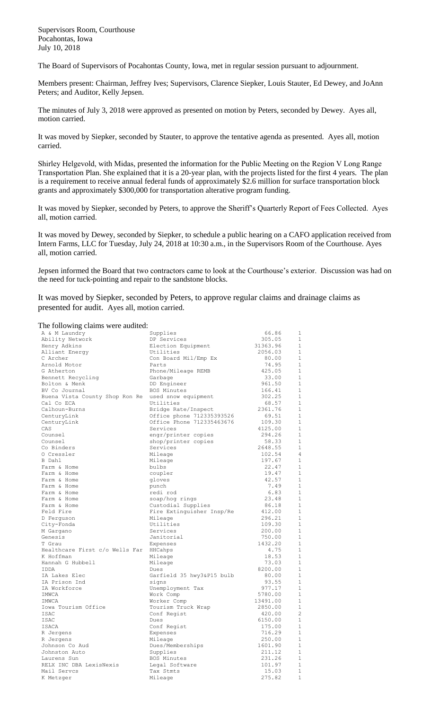Supervisors Room, Courthouse Pocahontas, Iowa July 10, 2018

The Board of Supervisors of Pocahontas County, Iowa, met in regular session pursuant to adjournment.

Members present: Chairman, Jeffrey Ives; Supervisors, Clarence Siepker, Louis Stauter, Ed Dewey, and JoAnn Peters; and Auditor, Kelly Jepsen.

The minutes of July 3, 2018 were approved as presented on motion by Peters, seconded by Dewey. Ayes all, motion carried.

It was moved by Siepker, seconded by Stauter, to approve the tentative agenda as presented. Ayes all, motion carried.

Shirley Helgevold, with Midas, presented the information for the Public Meeting on the Region V Long Range Transportation Plan. She explained that it is a 20-year plan, with the projects listed for the first 4 years. The plan is a requirement to receive annual federal funds of approximately \$2.6 million for surface transportation block grants and approximately \$300,000 for transportation alterative program funding.

It was moved by Siepker, seconded by Peters, to approve the Sheriff's Quarterly Report of Fees Collected. Ayes all, motion carried.

It was moved by Dewey, seconded by Siepker, to schedule a public hearing on a CAFO application received from Intern Farms, LLC for Tuesday, July 24, 2018 at 10:30 a.m., in the Supervisors Room of the Courthouse. Ayes all, motion carried.

Jepsen informed the Board that two contractors came to look at the Courthouse's exterior. Discussion was had on the need for tuck-pointing and repair to the sandstone blocks.

It was moved by Siepker, seconded by Peters, to approve regular claims and drainage claims as presented for audit. Ayes all, motion carried.

## The following claims were audited:

| A & M Laundry                               | Supplies                  | 66.86    | 1              |
|---------------------------------------------|---------------------------|----------|----------------|
| Ability Network                             | DP Services               | 305.05   | 1              |
| Henry Adkins                                | Election Equipment        | 31363.96 | 1              |
| Alliant Energy                              | Utilities                 | 2056.03  | 1              |
| C Archer                                    | Con Board Mil/Emp Ex      | 80.00    | 1              |
| Arnold Motor                                | Parts                     | 74.95    | $\mathbf{1}$   |
| G Atherton                                  | Phone/Mileage REMB        | 425.05   | $\mathbf 1$    |
| Bennett Recycling                           | Garbage                   | 33.00    | 1              |
| Bolton & Menk                               | DD Engineer               | 961.50   | $\mathbf{1}$   |
| BV Co Journal                               | BOS Minutes               | 166.41   | 1              |
| Buena Vista County Shop Ron Re              | used snow equipment       | 302.25   | $\mathbf{1}$   |
| Cal Co ECA                                  | Utilities                 | 68.57    | 1              |
| Calhoun-Burns                               | Bridge Rate/Inspect       | 2361.76  | 1              |
| CenturyLink                                 | Office phone 712335393526 | 69.51    | $\mathbf 1$    |
| CenturyLink                                 | Office Phone 712335463676 | 109.30   | 1              |
| CAS                                         | Services                  | 4125.00  | $\mathbf{1}$   |
|                                             |                           |          |                |
| Counsel                                     | engr/printer copies       | 294.26   | $\mathbf{1}$   |
| Counsel                                     | shop/printer copies       | 58.33    | $\mathbf{1}$   |
| Co Binders                                  | Services                  | 2648.55  | 1              |
| 0 Cressler                                  | Mileage                   | 102.54   | $\overline{4}$ |
| B Dahl                                      | Mileage                   | 197.67   | $\mathbf{1}$   |
| Farm & Home                                 | bulbs                     | 22.47    | 1              |
| Farm & Home                                 | coupler                   | 19.47    | 1              |
| Farm & Home                                 | gloves                    | 42.57    | $\mathbf{1}$   |
| Farm & Home                                 | punch                     | 7.49     | $\mathbf{1}$   |
| Farm & Home                                 | redi rod                  | 6.83     | $\mathbf{1}$   |
| Farm & Home                                 | soap/hog rings            | 23.48    | $\mathbf 1$    |
| Farm & Home                                 | Custodial Supplies        | 86.18    | 1              |
| Feld Fire                                   | Fire Extinguisher Insp/Re | 412.00   | 1              |
| D Ferquson                                  | Mileage                   | 296.21   | 1              |
| City-Fonda                                  | Utilities                 | 109.30   | $1\,$          |
| M Gargano                                   | Services                  | 200.00   | $\mathbf{1}$   |
| Genesis                                     | Janitorial                | 750.00   | 1              |
| T Grau                                      | Expenses                  | 1432.20  | $\mathbf{1}$   |
|                                             |                           | 4.75     | $\mathbf{1}$   |
| Healthcare First c/o Wells Far<br>K Hoffman | HHCahps                   |          | $\mathbf 1$    |
|                                             | Mileage                   | 18.53    |                |
| Hannah G Hubbell                            | Mileage                   | 73.03    | $\mathbf{1}$   |
| IDDA                                        | Dues                      | 8200.00  | 1              |
| IA Lakes Elec                               | Garfield 35 hwy3&P15 bulb | 80.00    | 1              |
| IA Prison Ind                               | signs                     | 93.55    | $\mathbf{1}$   |
| IA Workforce                                | Unemployment Tax          | 977.17   | 1              |
| IMWCA                                       | Work Comp                 | 5780.00  | 1              |
| IMWCA                                       | Worker Comp               | 13491.00 | $\mathbf{1}$   |
| Iowa Tourism Office                         | Tourism Truck Wrap        | 2850.00  | 1              |
| ISAC                                        | Conf Regist               | 420.00   | $\overline{c}$ |
| ISAC                                        | Dues                      | 6150.00  | 1              |
| ISACA                                       | Conf Regist               | 175.00   | 1              |
| R Jergens                                   | Expenses                  | 716.29   | 1              |
| R Jergens                                   | Mileage                   | 250.00   | $\mathbf{1}$   |
| Johnson Co Aud                              | Dues/Memberships          | 1601.90  | $\mathbf{1}$   |
| Johnston Auto                               | Supplies                  | 211.12   | $\mathbf{1}$   |
| Laurens Sun                                 | BOS Minutes               | 231.26   | $\mathbf{1}$   |
| RELX INC DBA LexisNexis                     | Legal Software            | 101.97   | 1              |
| Mail Servcs                                 | Tax Stmts                 | 15.03    | $\mathbf{1}$   |
|                                             |                           |          | $\mathbf{1}$   |
| K Metzger                                   | Mileage                   | 275.82   |                |